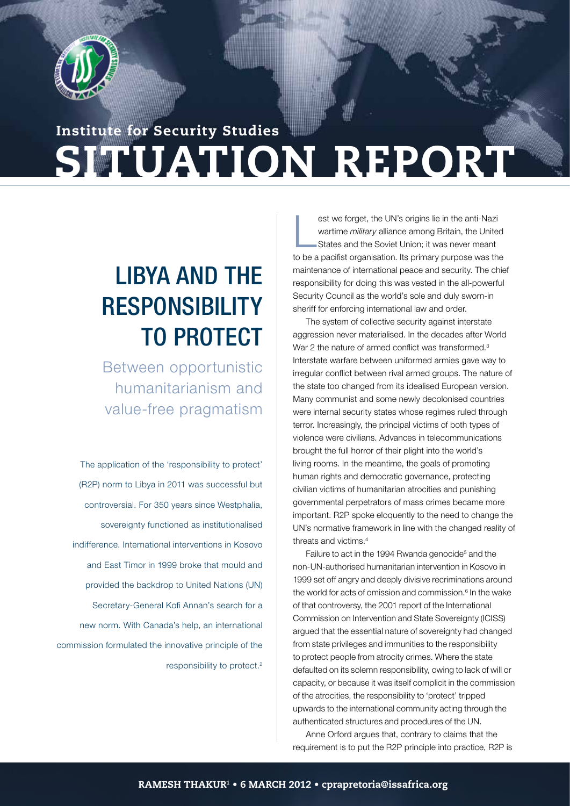

# SITUATION REPORT Institute for Security Studies

# Libya and the **RESPONSIBILITY** to protect

Between opportunistic humanitarianism and value-free pragmatism

The application of the 'responsibility to protect' (R2P) norm to Libya in 2011 was successful but controversial. For 350 years since Westphalia, sovereignty functioned as institutionalised indifference. International interventions in Kosovo and East Timor in 1999 broke that mould and provided the backdrop to United Nations (UN) Secretary-General Kofi Annan's search for a new norm. With Canada's help, an international commission formulated the innovative principle of the responsibility to protect.2

 $\overline{\mathsf{L}}$ est we forget, the UN's origins lie in the anti-Nazi wartime *military* alliance among Britain, the United States and the Soviet Union; it was never meant to be a pacifist organisation. Its primary purpose was the maintenance of international peace and security. The chief responsibility for doing this was vested in the all-powerful Security Council as the world's sole and duly sworn-in sheriff for enforcing international law and order.

S I T UA T ON THE RESEARCH WAS CONSULTED AND RELEASED FOR THE RESEARCH OF THE RESEARCH OF THE RESEARCH OF THE RESEARCH OF THE RESEARCH OF THE RESEARCH OF THE RESEARCH OF THE RESEARCH OF THE RESEARCH OF THE RESEARCH OF THE

The system of collective security against interstate aggression never materialised. In the decades after World War 2 the nature of armed conflict was transformed.<sup>3</sup> Interstate warfare between uniformed armies gave way to irregular conflict between rival armed groups. The nature of the state too changed from its idealised European version. Many communist and some newly decolonised countries were internal security states whose regimes ruled through terror. Increasingly, the principal victims of both types of violence were civilians. Advances in telecommunications brought the full horror of their plight into the world's living rooms. In the meantime, the goals of promoting human rights and democratic governance, protecting civilian victims of humanitarian atrocities and punishing governmental perpetrators of mass crimes became more important. R2P spoke eloquently to the need to change the UN's normative framework in line with the changed reality of threats and victims.4

Failure to act in the 1994 Rwanda genocide<sup>5</sup> and the non-UN-authorised humanitarian intervention in Kosovo in 1999 set off angry and deeply divisive recriminations around the world for acts of omission and commission.<sup>6</sup> In the wake of that controversy, the 2001 report of the International Commission on Intervention and State Sovereignty (ICISS) argued that the essential nature of sovereignty had changed from state privileges and immunities to the responsibility to protect people from atrocity crimes. Where the state defaulted on its solemn responsibility, owing to lack of will or capacity, or because it was itself complicit in the commission of the atrocities, the responsibility to 'protect' tripped upwards to the international community acting through the authenticated structures and procedures of the UN.

Anne Orford argues that, contrary to claims that the requirement is to put the R2P principle into practice, R2P is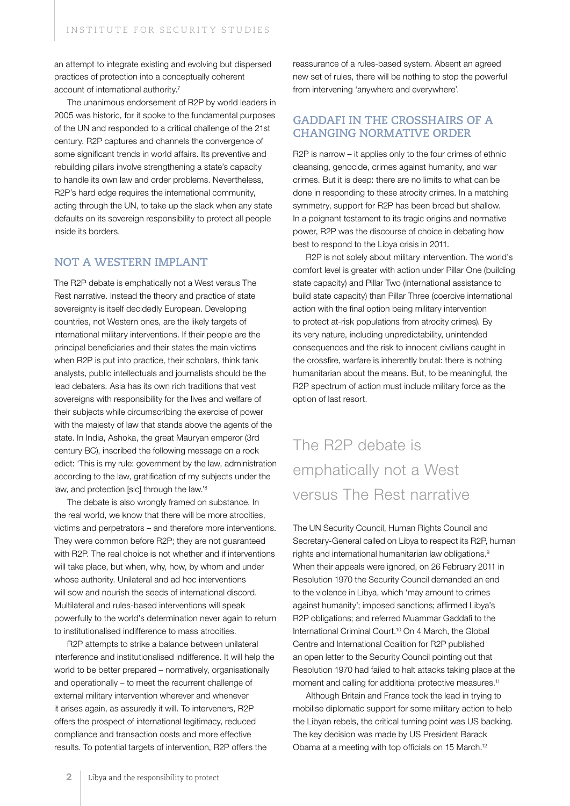an attempt to integrate existing and evolving but dispersed practices of protection into a conceptually coherent account of international authority.<sup>7</sup>

The unanimous endorsement of R2P by world leaders in 2005 was historic, for it spoke to the fundamental purposes of the UN and responded to a critical challenge of the 21st century. R2P captures and channels the convergence of some significant trends in world affairs. Its preventive and rebuilding pillars involve strengthening a state's capacity to handle its own law and order problems. Nevertheless, R2P's hard edge requires the international community, acting through the UN, to take up the slack when any state defaults on its sovereign responsibility to protect all people inside its borders.

### **Not a Western implant**

The R2P debate is emphatically not a West versus The Rest narrative. Instead the theory and practice of state sovereignty is itself decidedly European. Developing countries, not Western ones, are the likely targets of international military interventions. If their people are the principal beneficiaries and their states the main victims when R2P is put into practice, their scholars, think tank analysts, public intellectuals and journalists should be the lead debaters. Asia has its own rich traditions that vest sovereigns with responsibility for the lives and welfare of their subjects while circumscribing the exercise of power with the majesty of law that stands above the agents of the state. In India, Ashoka, the great Mauryan emperor (3rd century BC), inscribed the following message on a rock edict: 'This is my rule: government by the law, administration according to the law, gratification of my subjects under the law, and protection [sic] through the law.<sup>'8</sup>

The debate is also wrongly framed on substance. In the real world, we know that there will be more atrocities, victims and perpetrators – and therefore more interventions. They were common before R2P; they are not guaranteed with R2P. The real choice is not whether and if interventions will take place, but when, why, how, by whom and under whose authority. Unilateral and ad hoc interventions will sow and nourish the seeds of international discord. Multilateral and rules-based interventions will speak powerfully to the world's determination never again to return to institutionalised indifference to mass atrocities.

R2P attempts to strike a balance between unilateral interference and institutionalised indifference. It will help the world to be better prepared – normatively, organisationally and operationally – to meet the recurrent challenge of external military intervention wherever and whenever it arises again, as assuredly it will. To interveners, R2P offers the prospect of international legitimacy, reduced compliance and transaction costs and more effective results. To potential targets of intervention, R2P offers the

reassurance of a rules-based system. Absent an agreed new set of rules, there will be nothing to stop the powerful from intervening 'anywhere and everywhere'.

## **Gaddafi in the crosshairs of a changing normative order**

R2P is narrow – it applies only to the four crimes of ethnic cleansing, genocide, crimes against humanity, and war crimes. But it is deep: there are no limits to what can be done in responding to these atrocity crimes. In a matching symmetry, support for R2P has been broad but shallow. In a poignant testament to its tragic origins and normative power, R2P was the discourse of choice in debating how best to respond to the Libya crisis in 2011.

R2P is not solely about military intervention. The world's comfort level is greater with action under Pillar One (building state capacity) and Pillar Two (international assistance to build state capacity) than Pillar Three (coercive international action with the final option being military intervention to protect at-risk populations from atrocity crimes). By its very nature, including unpredictability, unintended consequences and the risk to innocent civilians caught in the crossfire, warfare is inherently brutal: there is nothing humanitarian about the means. But, to be meaningful, the R2P spectrum of action must include military force as the option of last resort.

# The R2P debate is emphatically not a West versus The Rest narrative

The UN Security Council, Human Rights Council and Secretary-General called on Libya to respect its R2P, human rights and international humanitarian law obligations.9 When their appeals were ignored, on 26 February 2011 in Resolution 1970 the Security Council demanded an end to the violence in Libya, which 'may amount to crimes against humanity'; imposed sanctions; affirmed Libya's R2P obligations; and referred Muammar Gaddafi to the International Criminal Court.10 On 4 March, the Global Centre and International Coalition for R2P published an open letter to the Security Council pointing out that Resolution 1970 had failed to halt attacks taking place at the moment and calling for additional protective measures.<sup>11</sup>

Although Britain and France took the lead in trying to mobilise diplomatic support for some military action to help the Libyan rebels, the critical turning point was US backing. The key decision was made by US President Barack Obama at a meeting with top officials on 15 March.12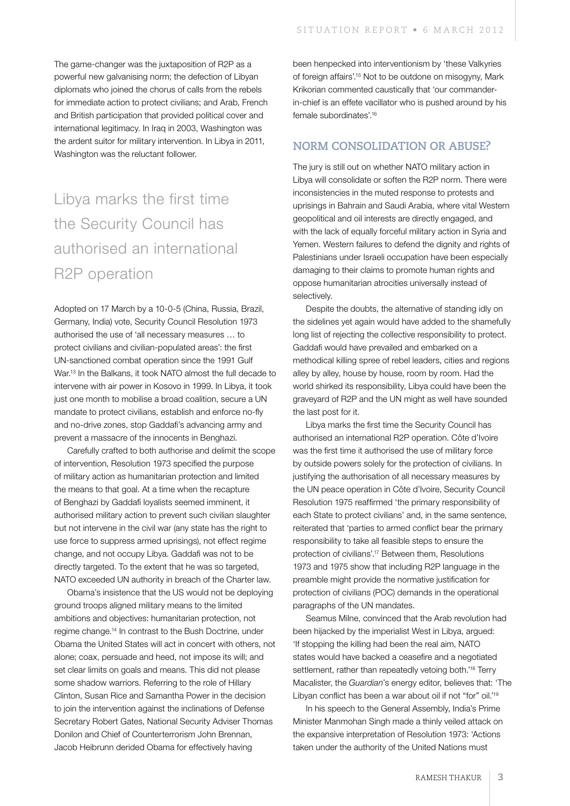The game-changer was the juxtaposition of R2P as a powerful new galvanising norm; the defection of Libyan diplomats who joined the chorus of calls from the rebels for immediate action to protect civilians; and Arab, French and British participation that provided political cover and international legitimacy. In Iraq in 2003, Washington was the ardent suitor for military intervention. In Libya in 2011, Washington was the reluctant follower.

# Libya marks the first time the Security Council has authorised an international R2P operation

Adopted on 17 March by a 10-0-5 (China, Russia, Brazil, Germany, India) vote, Security Council Resolution 1973 authorised the use of 'all necessary measures … to protect civilians and civilian-populated areas': the first UN-sanctioned combat operation since the 1991 Gulf War.13 In the Balkans, it took NATO almost the full decade to intervene with air power in Kosovo in 1999. In Libya, it took just one month to mobilise a broad coalition, secure a UN mandate to protect civilians, establish and enforce no-fly and no-drive zones, stop Gaddafi's advancing army and prevent a massacre of the innocents in Benghazi.

Carefully crafted to both authorise and delimit the scope of intervention, Resolution 1973 specified the purpose of military action as humanitarian protection and limited the means to that goal. At a time when the recapture of Benghazi by Gaddafi loyalists seemed imminent, it authorised military action to prevent such civilian slaughter but not intervene in the civil war (any state has the right to use force to suppress armed uprisings), not effect regime change, and not occupy Libya. Gaddafi was not to be directly targeted. To the extent that he was so targeted, NATO exceeded UN authority in breach of the Charter law.

Obama's insistence that the US would not be deploying ground troops aligned military means to the limited ambitions and objectives: humanitarian protection, not regime change.14 In contrast to the Bush Doctrine, under Obama the United States will act in concert with others, not alone; coax, persuade and heed, not impose its will; and set clear limits on goals and means. This did not please some shadow warriors. Referring to the role of Hillary Clinton, Susan Rice and Samantha Power in the decision to join the intervention against the inclinations of Defense Secretary Robert Gates, National Security Adviser Thomas Donilon and Chief of Counterterrorism John Brennan, Jacob Heibrunn derided Obama for effectively having

been henpecked into interventionism by 'these Valkyries of foreign affairs'.15 Not to be outdone on misogyny, Mark Krikorian commented caustically that 'our commanderin-chief is an effete vacillator who is pushed around by his female subordinates'.16

### **Norm consolidation or abuse?**

The jury is still out on whether NATO military action in Libya will consolidate or soften the R2P norm. There were inconsistencies in the muted response to protests and uprisings in Bahrain and Saudi Arabia, where vital Western geopolitical and oil interests are directly engaged, and with the lack of equally forceful military action in Syria and Yemen. Western failures to defend the dignity and rights of Palestinians under Israeli occupation have been especially damaging to their claims to promote human rights and oppose humanitarian atrocities universally instead of selectively.

Despite the doubts, the alternative of standing idly on the sidelines yet again would have added to the shamefully long list of rejecting the collective responsibility to protect. Gaddafi would have prevailed and embarked on a methodical killing spree of rebel leaders, cities and regions alley by alley, house by house, room by room. Had the world shirked its responsibility, Libya could have been the graveyard of R2P and the UN might as well have sounded the last post for it.

Libya marks the first time the Security Council has authorised an international R2P operation. Côte d'Ivoire was the first time it authorised the use of military force by outside powers solely for the protection of civilians. In justifying the authorisation of all necessary measures by the UN peace operation in Côte d'Ivoire, Security Council Resolution 1975 reaffirmed 'the primary responsibility of each State to protect civilians' and, in the same sentence, reiterated that 'parties to armed conflict bear the primary responsibility to take all feasible steps to ensure the protection of civilians'.17 Between them, Resolutions 1973 and 1975 show that including R2P language in the preamble might provide the normative justification for protection of civilians (POC) demands in the operational paragraphs of the UN mandates.

Seamus Milne, convinced that the Arab revolution had been hijacked by the imperialist West in Libya, argued: 'If stopping the killing had been the real aim, NATO states would have backed a ceasefire and a negotiated settlement, rather than repeatedly vetoing both.<sup>'18</sup> Terry Macalister, the *Guardian*'s energy editor, believes that: 'The Libyan conflict has been a war about oil if not "for" oil."<sup>19</sup>

In his speech to the General Assembly, India's Prime Minister Manmohan Singh made a thinly veiled attack on the expansive interpretation of Resolution 1973: 'Actions taken under the authority of the United Nations must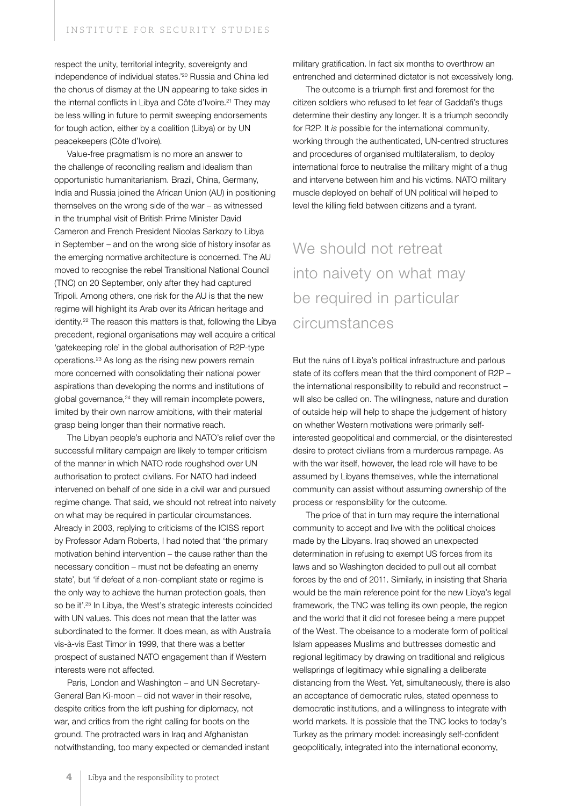respect the unity, territorial integrity, sovereignty and independence of individual states.'20 Russia and China led the chorus of dismay at the UN appearing to take sides in the internal conflicts in Libya and Côte d'Ivoire.<sup>21</sup> They may be less willing in future to permit sweeping endorsements for tough action, either by a coalition (Libya) or by UN peacekeepers (Côte d'Ivoire).

Value-free pragmatism is no more an answer to the challenge of reconciling realism and idealism than opportunistic humanitarianism. Brazil, China, Germany, India and Russia joined the African Union (AU) in positioning themselves on the wrong side of the war – as witnessed in the triumphal visit of British Prime Minister David Cameron and French President Nicolas Sarkozy to Libya in September – and on the wrong side of history insofar as the emerging normative architecture is concerned. The AU moved to recognise the rebel Transitional National Council (TNC) on 20 September, only after they had captured Tripoli. Among others, one risk for the AU is that the new regime will highlight its Arab over its African heritage and identity.22 The reason this matters is that, following the Libya precedent, regional organisations may well acquire a critical 'gatekeeping role' in the global authorisation of R2P-type operations.23 As long as the rising new powers remain more concerned with consolidating their national power aspirations than developing the norms and institutions of global governance, $24$  they will remain incomplete powers, limited by their own narrow ambitions, with their material grasp being longer than their normative reach.

The Libyan people's euphoria and NATO's relief over the successful military campaign are likely to temper criticism of the manner in which NATO rode roughshod over UN authorisation to protect civilians. For NATO had indeed intervened on behalf of one side in a civil war and pursued regime change. That said, we should not retreat into naivety on what may be required in particular circumstances. Already in 2003, replying to criticisms of the ICISS report by Professor Adam Roberts, I had noted that 'the primary motivation behind intervention – the cause rather than the necessary condition – must not be defeating an enemy state', but 'if defeat of a non-compliant state or regime is the only way to achieve the human protection goals, then so be it'.<sup>25</sup> In Libya, the West's strategic interests coincided with UN values. This does not mean that the latter was subordinated to the former. It does mean, as with Australia vis-à-vis East Timor in 1999, that there was a better prospect of sustained NATO engagement than if Western interests were not affected.

Paris, London and Washington – and UN Secretary-General Ban Ki-moon – did not waver in their resolve, despite critics from the left pushing for diplomacy, not war, and critics from the right calling for boots on the ground. The protracted wars in Iraq and Afghanistan notwithstanding, too many expected or demanded instant military gratification. In fact six months to overthrow an entrenched and determined dictator is not excessively long.

The outcome is a triumph first and foremost for the citizen soldiers who refused to let fear of Gaddafi's thugs determine their destiny any longer. It is a triumph secondly for R2P. It *is* possible for the international community, working through the authenticated, UN-centred structures and procedures of organised multilateralism, to deploy international force to neutralise the military might of a thug and intervene between him and his victims. NATO military muscle deployed on behalf of UN political will helped to level the killing field between citizens and a tyrant.

# We should not retreat into naivety on what may be required in particular circumstances

But the ruins of Libya's political infrastructure and parlous state of its coffers mean that the third component of R2P – the international responsibility to rebuild and reconstruct – will also be called on. The willingness, nature and duration of outside help will help to shape the judgement of history on whether Western motivations were primarily selfinterested geopolitical and commercial, or the disinterested desire to protect civilians from a murderous rampage. As with the war itself, however, the lead role will have to be assumed by Libyans themselves, while the international community can assist without assuming ownership of the process or responsibility for the outcome.

The price of that in turn may require the international community to accept and live with the political choices made by the Libyans. Iraq showed an unexpected determination in refusing to exempt US forces from its laws and so Washington decided to pull out all combat forces by the end of 2011. Similarly, in insisting that Sharia would be the main reference point for the new Libya's legal framework, the TNC was telling its own people, the region and the world that it did not foresee being a mere puppet of the West. The obeisance to a moderate form of political Islam appeases Muslims and buttresses domestic and regional legitimacy by drawing on traditional and religious wellsprings of legitimacy while signalling a deliberate distancing from the West. Yet, simultaneously, there is also an acceptance of democratic rules, stated openness to democratic institutions, and a willingness to integrate with world markets. It is possible that the TNC looks to today's Turkey as the primary model: increasingly self-confident geopolitically, integrated into the international economy,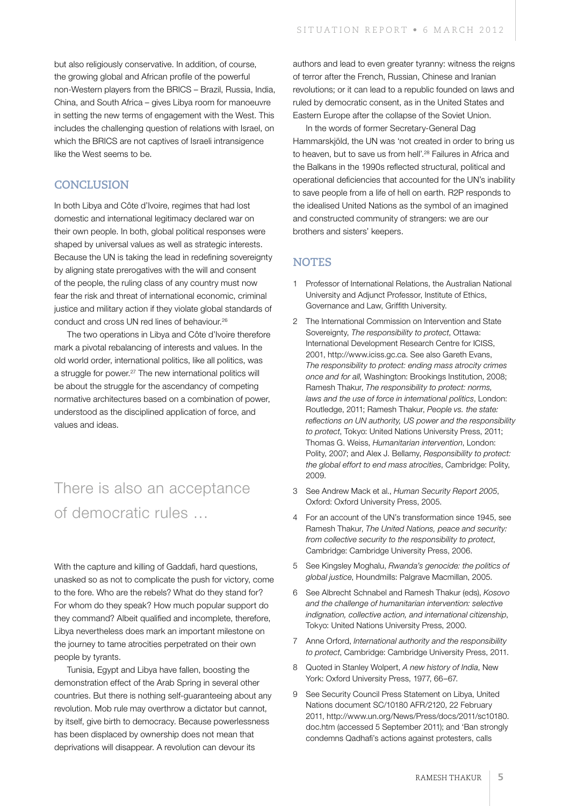but also religiously conservative. In addition, of course, the growing global and African profile of the powerful non-Western players from the BRICS – Brazil, Russia, India, China, and South Africa – gives Libya room for manoeuvre in setting the new terms of engagement with the West. This includes the challenging question of relations with Israel, on which the BRICS are not captives of Israeli intransigence like the West seems to be.

### **Conclusion**

In both Libya and Côte d'Ivoire, regimes that had lost domestic and international legitimacy declared war on their own people. In both, global political responses were shaped by universal values as well as strategic interests. Because the UN is taking the lead in redefining sovereignty by aligning state prerogatives with the will and consent of the people, the ruling class of any country must now fear the risk and threat of international economic, criminal justice and military action if they violate global standards of conduct and cross UN red lines of behaviour.26

The two operations in Libya and Côte d'Ivoire therefore mark a pivotal rebalancing of interests and values. In the old world order, international politics, like all politics, was a struggle for power.27 The new international politics will be about the struggle for the ascendancy of competing normative architectures based on a combination of power, understood as the disciplined application of force, and values and ideas.

## There is also an acceptance of democratic rules …

With the capture and killing of Gaddafi, hard questions, unasked so as not to complicate the push for victory, come to the fore. Who are the rebels? What do they stand for? For whom do they speak? How much popular support do they command? Albeit qualified and incomplete, therefore, Libya nevertheless does mark an important milestone on the journey to tame atrocities perpetrated on their own people by tyrants.

Tunisia, Egypt and Libya have fallen, boosting the demonstration effect of the Arab Spring in several other countries. But there is nothing self-guaranteeing about any revolution. Mob rule may overthrow a dictator but cannot, by itself, give birth to democracy. Because powerlessness has been displaced by ownership does not mean that deprivations will disappear. A revolution can devour its

authors and lead to even greater tyranny: witness the reigns of terror after the French, Russian, Chinese and Iranian revolutions; or it can lead to a republic founded on laws and ruled by democratic consent, as in the United States and Eastern Europe after the collapse of the Soviet Union.

In the words of former Secretary-General Dag Hammarskjöld, the UN was 'not created in order to bring us to heaven, but to save us from hell'.<sup>28</sup> Failures in Africa and the Balkans in the 1990s reflected structural, political and operational deficiencies that accounted for the UN's inability to save people from a life of hell on earth. R2P responds to the idealised United Nations as the symbol of an imagined and constructed community of strangers: we are our brothers and sisters' keepers.

### **Notes**

- 1 Professor of International Relations, the Australian National University and Adjunct Professor, Institute of Ethics, Governance and Law, Griffith University.
- 2 The International Commission on Intervention and State Sovereignty, *The responsibility to protect*, Ottawa: International Development Research Centre for ICISS, 2001, http://www.iciss.gc.ca. See also Gareth Evans, *The responsibility to protect: ending mass atrocity crimes once and for all*, Washington: Brookings Institution, 2008; Ramesh Thakur, *The responsibility to protect: norms, laws and the use of force in international politics*, London: Routledge, 2011; Ramesh Thakur, *People vs. the state: reflections on UN authority, US power and the responsibility to protect*, Tokyo: United Nations University Press, 2011; Thomas G. Weiss, *Humanitarian intervention*, London: Polity, 2007; and Alex J. Bellamy, *Responsibility to protect: the global effort to end mass atrocities*, Cambridge: Polity, 2009.
- 3 See Andrew Mack et al., *Human Security Report 2005*, Oxford: Oxford University Press, 2005.
- 4 For an account of the UN's transformation since 1945, see Ramesh Thakur, *The United Nations, peace and security: from collective security to the responsibility to protect*, Cambridge: Cambridge University Press, 2006.
- 5 See Kingsley Moghalu, *Rwanda's genocide: the politics of global justice*, Houndmills: Palgrave Macmillan, 2005.
- 6 See Albrecht Schnabel and Ramesh Thakur (eds), *Kosovo and the challenge of humanitarian intervention: selective indignation, collective action, and international citizenship*, Tokyo: United Nations University Press, 2000.
- 7 Anne Orford, *International authority and the responsibility to protect*, Cambridge: Cambridge University Press, 2011.
- 8 Quoted in Stanley Wolpert, *A new history of India*, New York: Oxford University Press, 1977, 66–67.
- 9 See Security Council Press Statement on Libya, United Nations document SC/10180 AFR/2120, 22 February 2011, http://www.un.org/News/Press/docs/2011/sc10180. doc.htm (accessed 5 September 2011); and 'Ban strongly condemns Qadhafi's actions against protesters, calls